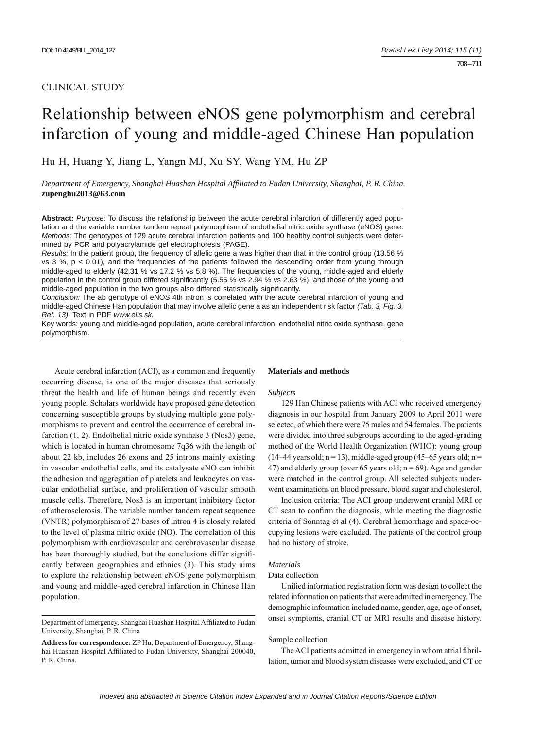# CLINICAL STUDY

# Relationship between eNOS gene polymorphism and cerebral infarction of young and middle-aged Chinese Han population

Hu H, Huang Y, Jiang L, Yangn MJ, Xu SY, Wang YM, Hu ZP

*Department of Emergency, Shanghai Huashan Hospital Affi liated to Fudan University, Shanghai, P. R. China.* **zupenghu2013@63.com**

**Abstract:** *Purpose:* To discuss the relationship between the acute cerebral infarction of differently aged population and the variable number tandem repeat polymorphism of endothelial nitric oxide synthase (eNOS) gene. *Methods:* The genotypes of 129 acute cerebral infarction patients and 100 healthy control subjects were determined by PCR and polyacrylamide gel electrophoresis (PAGE).

*Results:* In the patient group, the frequency of allelic gene a was higher than that in the control group (13.56 % vs  $3\%$ ,  $p < 0.01$ ), and the frequencies of the patients followed the descending order from young through middle-aged to elderly (42.31 % vs 17.2 % vs 5.8 %). The frequencies of the young, middle-aged and elderly population in the control group differed significantly (5.55 % vs 2.94 % vs 2.63 %), and those of the young and middle-aged population in the two groups also differed statistically significantly.

*Conclusion:* The ab genotype of eNOS 4th intron is correlated with the acute cerebral infarction of young and middle-aged Chinese Han population that may involve allelic gene a as an independent risk factor *(Tab. 3, Fig. 3, Ref. 13)*. Text in PDF *www.elis.sk.*

Key words: young and middle-aged population, acute cerebral infarction, endothelial nitric oxide synthase, gene polymorphism.

Acute cerebral infarction (ACI), as a common and frequently occurring disease, is one of the major diseases that seriously threat the health and life of human beings and recently even young people. Scholars worldwide have proposed gene detection concerning susceptible groups by studying multiple gene polymorphisms to prevent and control the occurrence of cerebral infarction (1, 2). Endothelial nitric oxide synthase 3 (Nos3) gene, which is located in human chromosome 7q36 with the length of about 22 kb, includes 26 exons and 25 introns mainly existing in vascular endothelial cells, and its catalysate eNO can inhibit the adhesion and aggregation of platelets and leukocytes on vascular endothelial surface, and proliferation of vascular smooth muscle cells. Therefore, Nos3 is an important inhibitory factor of atherosclerosis. The variable number tandem repeat sequence (VNTR) polymorphism of 27 bases of intron 4 is closely related to the level of plasma nitric oxide (NO). The correlation of this polymorphism with cardiovascular and cerebrovascular disease has been thoroughly studied, but the conclusions differ significantly between geographies and ethnics (3). This study aims to explore the relationship between eNOS gene polymorphism and young and middle-aged cerebral infarction in Chinese Han population.

## **Materials and methods**

#### *Subjects*

129 Han Chinese patients with ACI who received emergency diagnosis in our hospital from January 2009 to April 2011 were selected, of which there were 75 males and 54 females. The patients were divided into three subgroups according to the aged-grading method of the World Health Organization (WHO): young group  $(14–44 \text{ years old}; n = 13)$ , middle-aged group  $(45–65 \text{ years old}; n = 13)$ 47) and elderly group (over 65 years old;  $n = 69$ ). Age and gender were matched in the control group. All selected subjects underwent examinations on blood pressure, blood sugar and cholesterol.

Inclusion criteria: The ACI group underwent cranial MRI or CT scan to confirm the diagnosis, while meeting the diagnostic criteria of Sonntag et al (4). Cerebral hemorrhage and space-occupying lesions were excluded. The patients of the control group had no history of stroke.

## *Materials*

## Data collection

Unified information registration form was design to collect the related information on patients that were admitted in emergency. The demographic information included name, gender, age, age of onset, onset symptoms, cranial CT or MRI results and disease history.

## Sample collection

The ACI patients admitted in emergency in whom atrial fibrillation, tumor and blood system diseases were excluded, and CT or

Department of Emergency, Shanghai Huashan Hospital Affiliated to Fudan University, Shanghai, P. R. China

**Address for correspondence:** ZP Hu, Department of Emergency, Shanghai Huashan Hospital Affiliated to Fudan University, Shanghai 200040, P. R. China.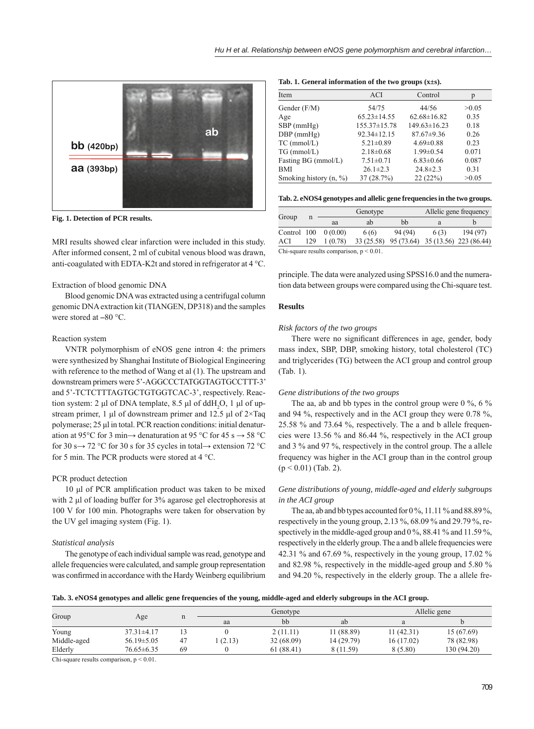

**Fig. 1. Detection of PCR results.**

MRI results showed clear infarction were included in this study. After informed consent, 2 ml of cubital venous blood was drawn, anti-coagulated with EDTA-K2t and stored in refrigerator at 4 °C.

## Extraction of blood genomic DNA

Blood genomic DNA was extracted using a centrifugal column genomic DNA extraction kit (TIANGEN, DP318) and the samples were stored at **–**80 °C.

## Reaction system

VNTR polymorphism of eNOS gene intron 4: the primers were synthesized by Shanghai Institute of Biological Engineering with reference to the method of Wang et al (1). The upstream and downstream primers were 5'-AGGCCCTATGGTAGTGCCTTT-3' and 5'-TCTCTTTAGTGCTGTGGTCAC-3', respectively. Reaction system: 2  $\mu$ l of DNA template, 8.5  $\mu$ l of ddH<sub>2</sub>O, 1  $\mu$ l of upstream primer, 1 μl of downstream primer and 12.5 μl of 2×Taq polymerase; 25 μl in total. PCR reaction conditions: initial denaturation at 95°C for 3 min $\rightarrow$  denaturation at 95 °C for 45 s  $\rightarrow$  58 °C for 30 s→ 72 °C for 30 s for 35 cycles in total  $\rightarrow$  extension 72 °C for 5 min. The PCR products were stored at 4 °C.

## PCR product detection

10 μl of PCR amplification product was taken to be mixed with 2 μl of loading buffer for 3% agarose gel electrophoresis at 100 V for 100 min. Photographs were taken for observation by the UV gel imaging system (Fig. 1).

### *Statistical analysis*

The genotype of each individual sample was read, genotype and allele frequencies were calculated, and sample group representation was confirmed in accordance with the Hardy Weinberg equilibrium

**Tab. 1. General information of the two groups (x±s).**

| Item                               | <b>ACI</b>        | Control            | р     |  |
|------------------------------------|-------------------|--------------------|-------|--|
| Gender (F/M)                       | 54/75             | 44/56              | >0.05 |  |
| Age                                | $65.23 \pm 14.55$ | $62.68 \pm 16.82$  | 0.35  |  |
| $SBP$ (mmHg)                       | 155.37±15.78      | $149.63 \pm 16.23$ | 0.18  |  |
| $DBP$ (mmHg)                       | 92.34±12.15       | $87.67 \pm 9.36$   | 0.26  |  |
| $TC$ (mmol/L)                      | $5.21 \pm 0.89$   | $4.69 \pm 0.88$    | 0.23  |  |
| $TG$ (mmol/L)                      | $2.18 \pm 0.68$   | $1.99 \pm 0.54$    | 0.071 |  |
| Fasting BG (mmol/L)                | $7.51 \pm 0.71$   | $6.83 \pm 0.66$    | 0.087 |  |
| BMI                                | $26.1 \pm 2.3$    | $24.8 \pm 2.3$     | 0.31  |  |
| Smoking history $(n, \frac{9}{6})$ | 37 (28.7%)        | 22(22%)            | >0.05 |  |

**Tab. 2. eNOS4 genotypes and allelic gene frequencies in the two groups.**

| Group | n   | Genotype                                        |       |         | Allelic gene frequency |                                              |  |
|-------|-----|-------------------------------------------------|-------|---------|------------------------|----------------------------------------------|--|
|       |     | aa                                              | ab    | bb      | a                      |                                              |  |
|       |     | Control $100 \quad 0(0.00)$                     | 6 (6) | 94 (94) | 6(3)                   | 194(97)                                      |  |
| ACI   | 129 | 1(0.78)                                         |       |         |                        | 33 (25.58) 95 (73.64) 35 (13.56) 223 (86.44) |  |
|       |     | $C_{\rm b}$ cause results comparison $n < 0.01$ |       |         |                        |                                              |  |

Chi-square results comparison,  $p < 0.01$ .

principle. The data were analyzed using SPSS16.0 and the numeration data between groups were compared using the Chi-square test.

## **Results**

## *Risk factors of the two groups*

There were no significant differences in age, gender, body mass index, SBP, DBP, smoking history, total cholesterol (TC) and triglycerides (TG) between the ACI group and control group (Tab. 1).

## *Gene distributions of the two groups*

The aa, ab and bb types in the control group were  $0\%$ ,  $6\%$ and 94 %, respectively and in the ACI group they were 0.78 %, 25.58 % and 73.64 %, respectively. The a and b allele frequencies were 13.56 % and 86.44 %, respectively in the ACI group and 3 % and 97 %, respectively in the control group. The a allele frequency was higher in the ACI group than in the control group  $(p < 0.01)$  (Tab. 2).

# *Gene distributions of young, middle-aged and elderly subgroups in the ACI group*

The aa, ab and bb types accounted for  $0\%$ ,  $11.11\%$  and  $88.89\%$ , respectively in the young group, 2.13 %, 68.09 % and 29.79 %, respectively in the middle-aged group and 0 %, 88.41 % and 11.59 %, respectively in the elderly group. The a and b allele frequencies were 42.31 % and 67.69 %, respectively in the young group, 17.02 % and 82.98 %, respectively in the middle-aged group and 5.80 % and 94.20 %, respectively in the elderly group. The a allele fre-

**Tab. 3. eNOS4 genotypes and allelic gene frequencies of the young, middle-aged and elderly subgroups in the ACI group.**

| Group       | Age              | п  | Genotype |           | Allelic gene |           |             |
|-------------|------------------|----|----------|-----------|--------------|-----------|-------------|
|             |                  |    | aa       | bb        | ab           | a         |             |
| Young       | $37.31 \pm 4.17$ |    |          | 2(11.11)  | 11 (88.89)   | 11(42.31) | 15 (67.69)  |
| Middle-aged | $56.19 \pm 5.05$ | 47 | (2.13)   | 32(68.09) | 14 (29.79)   | 16(17.02) | 78 (82.98)  |
| Elderly     | $76.65 \pm 6.35$ | 69 |          | 61(88.41) | 8 (11.59)    | 8(5.80)   | 130 (94.20) |

Chi-square results comparison,  $p < 0.01$ .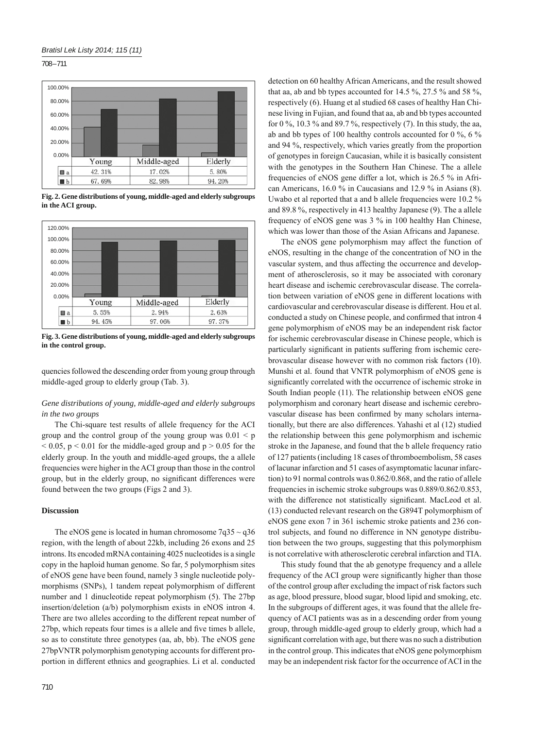708 – 711



**Fig. 2. Gene distributions of young, middle-aged and elderly subgroups in the ACI group.**



**Fig. 3. Gene distributions of young, middle-aged and elderly subgroups in the control group.**

quencies followed the descending order from young group through middle-aged group to elderly group (Tab. 3).

# *Gene distributions of young, middle-aged and elderly subgroups in the two groups*

The Chi-square test results of allele frequency for the ACI group and the control group of the young group was  $0.01 \leq p$  $< 0.05$ ,  $p < 0.01$  for the middle-aged group and  $p > 0.05$  for the elderly group. In the youth and middle-aged groups, the a allele frequencies were higher in the ACI group than those in the control group, but in the elderly group, no significant differences were found between the two groups (Figs 2 and 3).

## **Discussion**

The eNOS gene is located in human chromosome  $7q35 \sim q36$ region, with the length of about 22kb, including 26 exons and 25 introns. Its encoded mRNA containing 4025 nucleotides is a single copy in the haploid human genome. So far, 5 polymorphism sites of eNOS gene have been found, namely 3 single nucleotide polymorphisms (SNPs), 1 tandem repeat polymorphism of different number and 1 dinucleotide repeat polymorphism (5). The 27bp insertion/deletion (a/b) polymorphism exists in eNOS intron 4. There are two alleles according to the different repeat number of 27bp, which repeats four times is a allele and five times b allele, so as to constitute three genotypes (aa, ab, bb). The eNOS gene 27bpVNTR polymorphism genotyping accounts for different proportion in different ethnics and geographies. Li et al. conducted

710

detection on 60 healthy African Americans, and the result showed that aa, ab and bb types accounted for 14.5 %, 27.5 % and 58 %, respectively (6). Huang et al studied 68 cases of healthy Han Chinese living in Fujian, and found that aa, ab and bb types accounted for 0  $\%$ , 10.3  $\%$  and 89.7  $\%$ , respectively (7). In this study, the aa, ab and bb types of 100 healthy controls accounted for 0 %, 6 % and 94 %, respectively, which varies greatly from the proportion of genotypes in foreign Caucasian, while it is basically consistent with the genotypes in the Southern Han Chinese. The a allele frequencies of eNOS gene differ a lot, which is 26.5 % in African Americans, 16.0 % in Caucasians and 12.9 % in Asians (8). Uwabo et al reported that a and b allele frequencies were 10.2 % and 89.8 %, respectively in 413 healthy Japanese (9). The a allele frequency of eNOS gene was 3 % in 100 healthy Han Chinese, which was lower than those of the Asian Africans and Japanese.

The eNOS gene polymorphism may affect the function of eNOS, resulting in the change of the concentration of NO in the vascular system, and thus affecting the occurrence and development of atherosclerosis, so it may be associated with coronary heart disease and ischemic cerebrovascular disease. The correlation between variation of eNOS gene in different locations with cardiovascular and cerebrovascular disease is different. Hou et al. conducted a study on Chinese people, and confirmed that intron 4 gene polymorphism of eNOS may be an independent risk factor for ischemic cerebrovascular disease in Chinese people, which is particularly significant in patients suffering from ischemic cerebrovascular disease however with no common risk factors (10). Munshi et al. found that VNTR polymorphism of eNOS gene is significantly correlated with the occurrence of ischemic stroke in South Indian people (11). The relationship between eNOS gene polymorphism and coronary heart disease and ischemic cerebrovascular disease has been confirmed by many scholars internationally, but there are also differences. Yahashi et al (12) studied the relationship between this gene polymorphism and ischemic stroke in the Japanese, and found that the b allele frequency ratio of 127 patients (including 18 cases of thromboembolism, 58 cases of lacunar infarction and 51 cases of asymptomatic lacunar infarction) to 91 normal controls was 0.862/0.868, and the ratio of allele frequencies in ischemic stroke subgroups was 0.889/0.862/0.853, with the difference not statistically significant. MacLeod et al. (13) conducted relevant research on the G894T polymorphism of eNOS gene exon 7 in 361 ischemic stroke patients and 236 control subjects, and found no difference in NN genotype distribution between the two groups, suggesting that this polymorphism is not correlative with atherosclerotic cerebral infarction and TIA.

This study found that the ab genotype frequency and a allele frequency of the ACI group were significantly higher than those of the control group after excluding the impact of risk factors such as age, blood pressure, blood sugar, blood lipid and smoking, etc. In the subgroups of different ages, it was found that the allele frequency of ACI patients was as in a descending order from young group, through middle-aged group to elderly group, which had a significant correlation with age, but there was no such a distribution in the control group. This indicates that eNOS gene polymorphism may be an independent risk factor for the occurrence of ACI in the